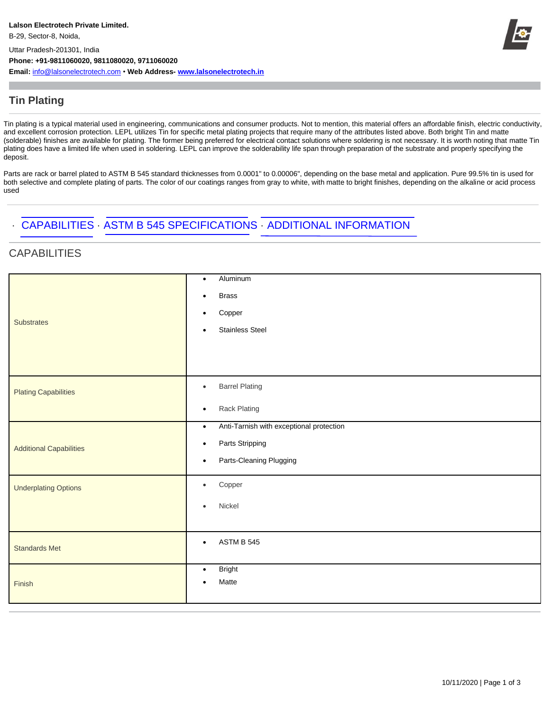

### **Tin Plating**

Tin plating is a typical material used in engineering, communications and consumer products. Not to mention, this material offers an affordable finish, electric conductivity, and excellent corrosion protection. LEPL utilizes Tin for specific metal plating projects that require many of the attributes listed above. Both bright Tin and matte (solderable) finishes are available for plating. The former being preferred for electrical contact solutions where soldering is not necessary. It is worth noting that matte Tin plating does have a limited life when used in soldering. LEPL can improve the solderability life span through preparation of the substrate and properly specifying the deposit.

Parts are rack or barrel plated to ASTM B 545 standard thicknesses from 0.0001" to 0.00006", depending on the base metal and application. Pure 99.5% tin is used for both selective and complete plating of parts. The color of our coatings ranges from gray to white, with matte to bright finishes, depending on the alkaline or acid process used

## · CAPABILITIES · ASTM B 545 SPECIFICATIONS · ADDITIONAL INFORMATION

### **CAPABILITIES**

|                                | Aluminum<br>$\bullet$                                 |
|--------------------------------|-------------------------------------------------------|
| <b>Substrates</b>              | <b>Brass</b><br>$\bullet$                             |
|                                | Copper<br>$\bullet$                                   |
|                                | <b>Stainless Steel</b><br>$\bullet$                   |
|                                |                                                       |
|                                |                                                       |
| <b>Plating Capabilities</b>    | <b>Barrel Plating</b><br>$\bullet$                    |
|                                | Rack Plating<br>$\bullet$                             |
|                                | Anti-Tarnish with exceptional protection<br>$\bullet$ |
| <b>Additional Capabilities</b> | Parts Stripping<br>$\bullet$                          |
|                                | Parts-Cleaning Plugging<br>$\bullet$                  |
| <b>Underplating Options</b>    | Copper<br>$\bullet$                                   |
|                                | Nickel<br>$\bullet$                                   |
|                                |                                                       |
| <b>Standards Met</b>           | <b>ASTM B 545</b><br>$\bullet$                        |
|                                |                                                       |
| Finish                         | <b>Bright</b><br>$\bullet$<br>Matte<br>$\bullet$      |
|                                |                                                       |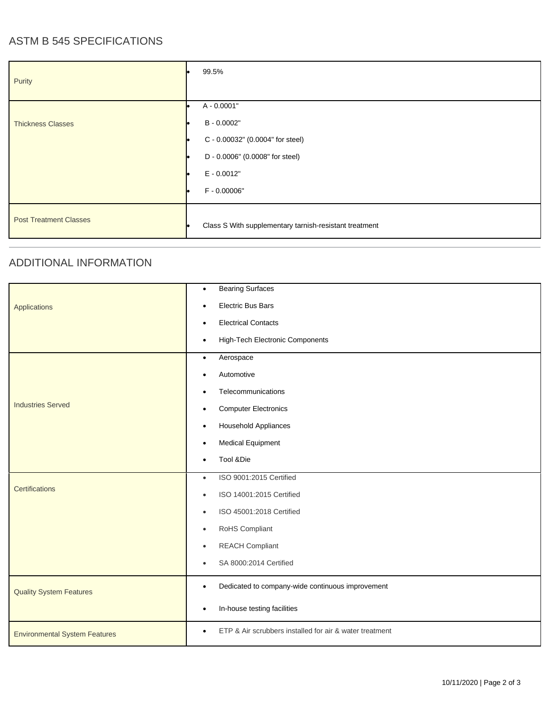# ASTM B 545 SPECIFICATIONS

| Purity                        | 99.5%                                                                                                                              |
|-------------------------------|------------------------------------------------------------------------------------------------------------------------------------|
| <b>Thickness Classes</b>      | A - 0.0001"<br>B - 0.0002"<br>C - 0.00032" (0.0004" for steel)<br>D - 0.0006" (0.0008" for steel)<br>$E - 0.0012"$<br>F - 0.00006" |
| <b>Post Treatment Classes</b> | Class S With supplementary tarnish-resistant treatment                                                                             |

#### ADDITIONAL INFORMATION

|                                      | <b>Bearing Surfaces</b><br>$\bullet$                                 |
|--------------------------------------|----------------------------------------------------------------------|
| Applications                         | <b>Electric Bus Bars</b><br>$\bullet$                                |
|                                      | <b>Electrical Contacts</b><br>$\bullet$                              |
|                                      | High-Tech Electronic Components<br>$\bullet$                         |
|                                      | Aerospace<br>$\bullet$                                               |
| <b>Industries Served</b>             | Automotive<br>$\bullet$                                              |
|                                      | Telecommunications<br>$\bullet$                                      |
|                                      | <b>Computer Electronics</b><br>$\bullet$                             |
|                                      | <b>Household Appliances</b><br>$\bullet$                             |
|                                      | <b>Medical Equipment</b><br>$\bullet$                                |
|                                      | Tool &Die<br>$\bullet$                                               |
| Certifications                       | ISO 9001:2015 Certified<br>$\bullet$                                 |
|                                      | ISO 14001:2015 Certified<br>$\bullet$                                |
|                                      | ISO 45001:2018 Certified<br>$\bullet$                                |
|                                      | RoHS Compliant<br>$\bullet$                                          |
|                                      | <b>REACH Compliant</b><br>$\bullet$                                  |
|                                      | SA 8000:2014 Certified<br>$\bullet$                                  |
| <b>Quality System Features</b>       | Dedicated to company-wide continuous improvement<br>$\bullet$        |
|                                      | In-house testing facilities<br>$\bullet$                             |
| <b>Environmental System Features</b> | ETP & Air scrubbers installed for air & water treatment<br>$\bullet$ |